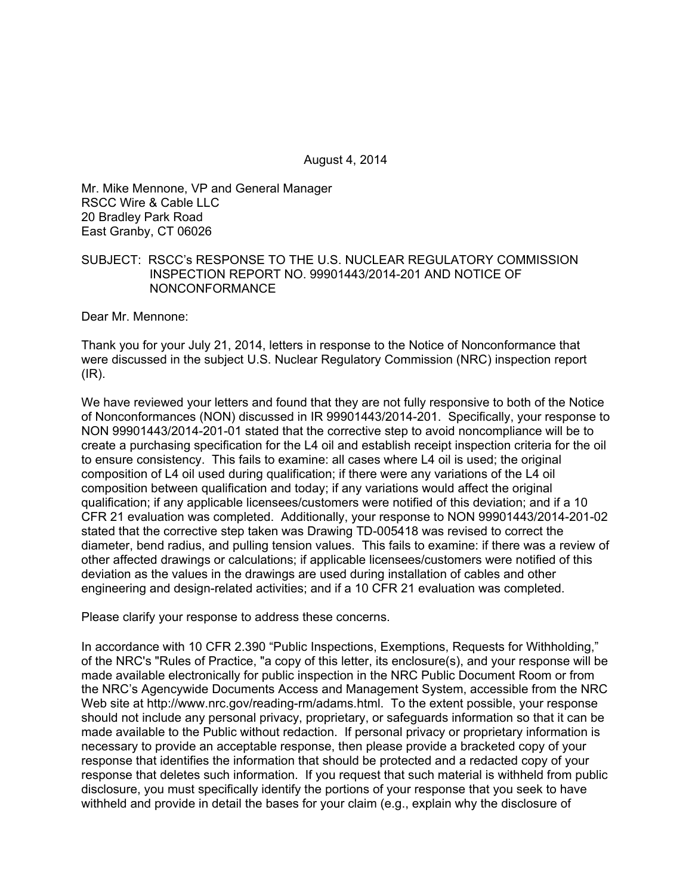August 4, 2014

Mr. Mike Mennone, VP and General Manager RSCC Wire & Cable LLC 20 Bradley Park Road East Granby, CT 06026

## SUBJECT: RSCC's RESPONSE TO THE U.S. NUCLEAR REGULATORY COMMISSION INSPECTION REPORT NO. 99901443/2014-201 AND NOTICE OF NONCONFORMANCE

Dear Mr. Mennone:

Thank you for your July 21, 2014, letters in response to the Notice of Nonconformance that were discussed in the subject U.S. Nuclear Regulatory Commission (NRC) inspection report (IR).

We have reviewed your letters and found that they are not fully responsive to both of the Notice of Nonconformances (NON) discussed in IR 99901443/2014-201. Specifically, your response to NON 99901443/2014-201-01 stated that the corrective step to avoid noncompliance will be to create a purchasing specification for the L4 oil and establish receipt inspection criteria for the oil to ensure consistency. This fails to examine: all cases where L4 oil is used; the original composition of L4 oil used during qualification; if there were any variations of the L4 oil composition between qualification and today; if any variations would affect the original qualification; if any applicable licensees/customers were notified of this deviation; and if a 10 CFR 21 evaluation was completed. Additionally, your response to NON 99901443/2014-201-02 stated that the corrective step taken was Drawing TD-005418 was revised to correct the diameter, bend radius, and pulling tension values. This fails to examine: if there was a review of other affected drawings or calculations; if applicable licensees/customers were notified of this deviation as the values in the drawings are used during installation of cables and other engineering and design-related activities; and if a 10 CFR 21 evaluation was completed.

Please clarify your response to address these concerns.

In accordance with 10 CFR 2.390 "Public Inspections, Exemptions, Requests for Withholding," of the NRC's "Rules of Practice, "a copy of this letter, its enclosure(s), and your response will be made available electronically for public inspection in the NRC Public Document Room or from the NRC's Agencywide Documents Access and Management System, accessible from the NRC Web site at http://www.nrc.gov/reading-rm/adams.html. To the extent possible, your response should not include any personal privacy, proprietary, or safeguards information so that it can be made available to the Public without redaction. If personal privacy or proprietary information is necessary to provide an acceptable response, then please provide a bracketed copy of your response that identifies the information that should be protected and a redacted copy of your response that deletes such information. If you request that such material is withheld from public disclosure, you must specifically identify the portions of your response that you seek to have withheld and provide in detail the bases for your claim (e.g., explain why the disclosure of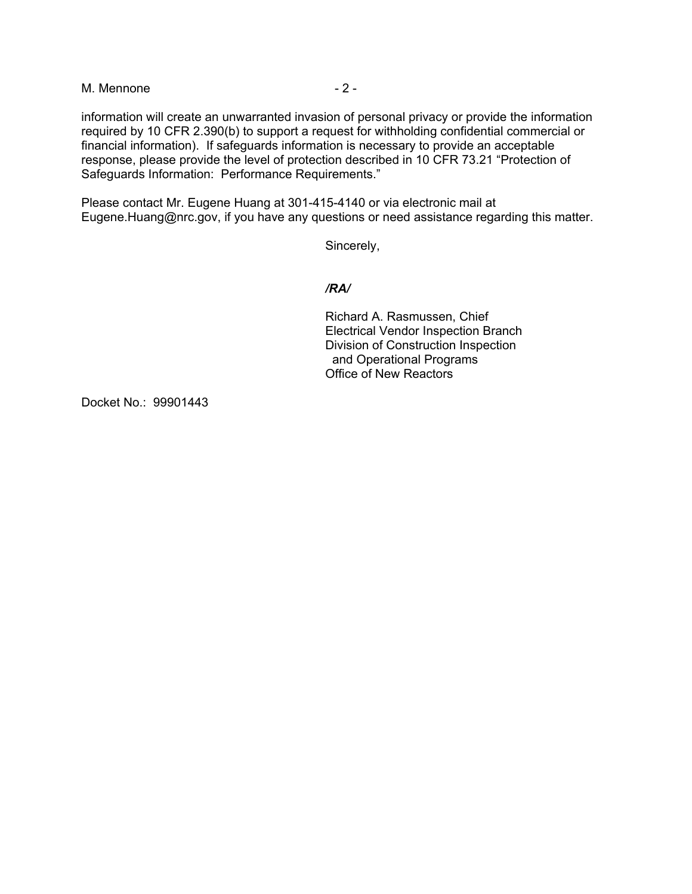M. Mennone  $-2 -$ 

information will create an unwarranted invasion of personal privacy or provide the information required by 10 CFR 2.390(b) to support a request for withholding confidential commercial or financial information). If safeguards information is necessary to provide an acceptable response, please provide the level of protection described in 10 CFR 73.21 "Protection of Safeguards Information: Performance Requirements."

Please contact Mr. Eugene Huang at 301-415-4140 or via electronic mail at Eugene.Huang@nrc.gov, if you have any questions or need assistance regarding this matter.

Sincerely,

## */RA/*

Richard A. Rasmussen, Chief Electrical Vendor Inspection Branch Division of Construction Inspection and Operational Programs Office of New Reactors

Docket No.: 99901443